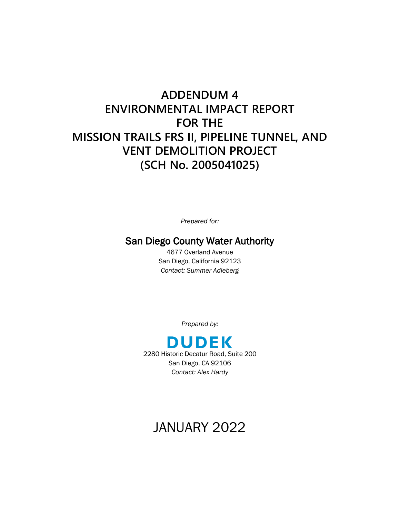#### **ADDENDUM 4 ENVIRONMENTAL IMPACT REPORT FOR THE MISSION TRAILS FRS II, PIPELINE TUNNEL, AND VENT DEMOLITION PROJECT (SCH No. 2005041025)**

*Prepared for:*

#### San Diego County Water Authority

4677 Overland Avenue San Diego, California 92123 *Contact: Summer Adleberg*

*Prepared by:*



San Diego, CA 92106 *Contact: Alex Hardy*

### JANUARY 2022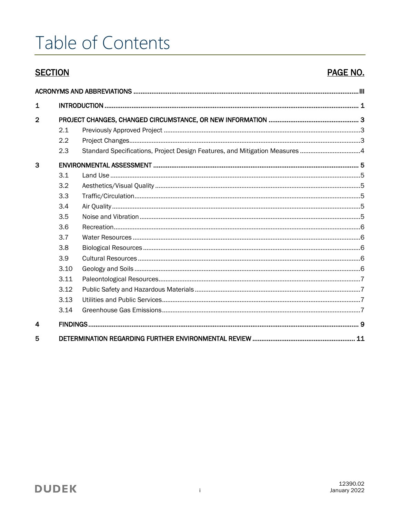## Table of Contents

#### **SECTION**

#### PAGE NO.

| $\mathbf{1}$     |      |                                                                             |  |  |  |  |
|------------------|------|-----------------------------------------------------------------------------|--|--|--|--|
| $\overline{2}$   |      |                                                                             |  |  |  |  |
|                  | 2.1  |                                                                             |  |  |  |  |
|                  | 2.2  |                                                                             |  |  |  |  |
|                  | 2.3  | Standard Specifications, Project Design Features, and Mitigation Measures 4 |  |  |  |  |
| 3                |      |                                                                             |  |  |  |  |
|                  | 3.1  |                                                                             |  |  |  |  |
|                  | 3.2  |                                                                             |  |  |  |  |
|                  | 3.3  |                                                                             |  |  |  |  |
|                  | 3.4  |                                                                             |  |  |  |  |
|                  | 3.5  |                                                                             |  |  |  |  |
|                  | 3.6  |                                                                             |  |  |  |  |
|                  | 3.7  |                                                                             |  |  |  |  |
|                  | 3.8  |                                                                             |  |  |  |  |
|                  | 3.9  |                                                                             |  |  |  |  |
|                  | 3.10 |                                                                             |  |  |  |  |
|                  | 3.11 |                                                                             |  |  |  |  |
|                  | 3.12 |                                                                             |  |  |  |  |
|                  | 3.13 |                                                                             |  |  |  |  |
|                  | 3.14 |                                                                             |  |  |  |  |
| $\boldsymbol{4}$ |      |                                                                             |  |  |  |  |
| 5                |      |                                                                             |  |  |  |  |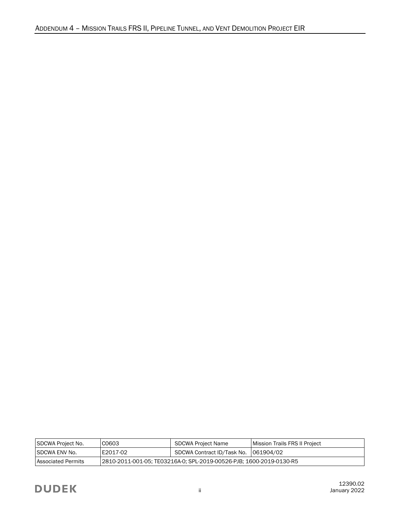| <b>SDCWA Project No.</b> | C0603                                                               | SDCWA Project Name                   | Mission Trails FRS II Project |  |  |
|--------------------------|---------------------------------------------------------------------|--------------------------------------|-------------------------------|--|--|
| <b>ISDCWA ENV No.</b>    | E2017-02                                                            | SDCWA Contract ID/Task No. 061904/02 |                               |  |  |
| Associated Permits       | 2810-2011-001-05; TE03216A-0; SPL-2019-00526-PJB; 1600-2019-0130-R5 |                                      |                               |  |  |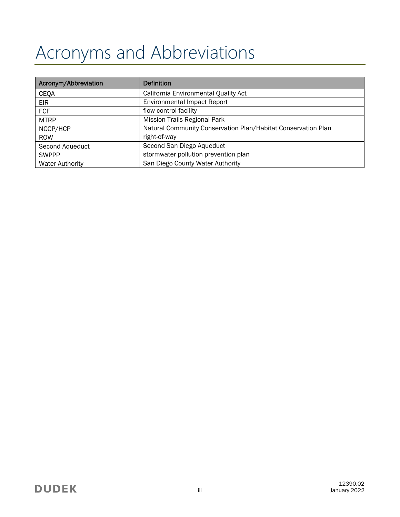# <span id="page-4-0"></span>Acronyms and Abbreviations

| Acronym/Abbreviation   | <b>Definition</b>                                             |
|------------------------|---------------------------------------------------------------|
| <b>CEOA</b>            | California Environmental Quality Act                          |
| EIR                    | <b>Environmental Impact Report</b>                            |
| <b>FCF</b>             | flow control facility                                         |
| <b>MTRP</b>            | <b>Mission Trails Regional Park</b>                           |
| NCCP/HCP               | Natural Community Conservation Plan/Habitat Conservation Plan |
| <b>ROW</b>             | right-of-way                                                  |
| Second Aqueduct        | Second San Diego Aqueduct                                     |
| <b>SWPPP</b>           | stormwater pollution prevention plan                          |
| <b>Water Authority</b> | San Diego County Water Authority                              |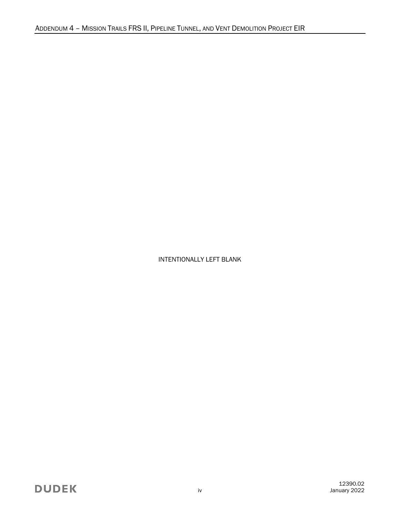**INTENTIONALLY LEFT BLANK**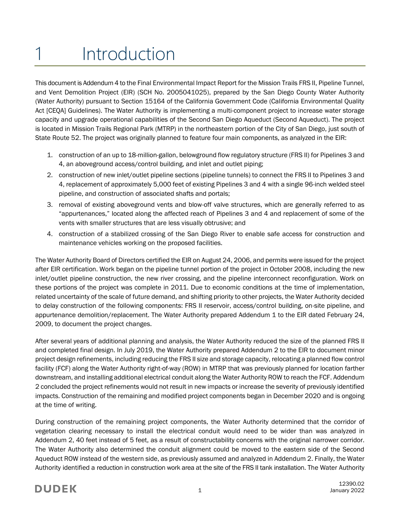## <span id="page-6-0"></span>**Introduction**

This document is Addendum 4 to the Final Environmental Impact Report for the Mission Trails FRS II, Pipeline Tunnel, and Vent Demolition Project (EIR) (SCH No. 2005041025), prepared by the San Diego County Water Authority (Water Authority) pursuant to Section 15164 of the California Government Code (California Environmental Quality Act [CEQA] Guidelines). The Water Authority is implementing a multi-component project to increase water storage capacity and upgrade operational capabilities of the Second San Diego Aqueduct (Second Aqueduct). The project is located in Mission Trails Regional Park (MTRP) in the northeastern portion of the City of San Diego, just south of State Route 52. The project was originally planned to feature four main components, as analyzed in the EIR:

- 1. construction of an up to 18-million-gallon, belowground flow regulatory structure (FRS II) for Pipelines 3 and 4, an aboveground access/control building, and inlet and outlet piping;
- 2. construction of new inlet/outlet pipeline sections (pipeline tunnels) to connect the FRS II to Pipelines 3 and 4, replacement of approximately 5,000 feet of existing Pipelines 3 and 4 with a single 96-inch welded steel pipeline, and construction of associated shafts and portals;
- 3. removal of existing aboveground vents and blow-off valve structures, which are generally referred to as "appurtenances," located along the affected reach of Pipelines 3 and 4 and replacement of some of the vents with smaller structures that are less visually obtrusive; and
- 4. construction of a stabilized crossing of the San Diego River to enable safe access for construction and maintenance vehicles working on the proposed facilities.

The Water Authority Board of Directors certified the EIR on August 24, 2006, and permits were issued for the project after EIR certification. Work began on the pipeline tunnel portion of the project in October 2008, including the new inlet/outlet pipeline construction, the new river crossing, and the pipeline interconnect reconfiguration. Work on these portions of the project was complete in 2011. Due to economic conditions at the time of implementation, related uncertainty of the scale of future demand, and shifting priority to other projects, the Water Authority decided to delay construction of the following components: FRS II reservoir, access/control building, on-site pipeline, and appurtenance demolition/replacement. The Water Authority prepared Addendum 1 to the EIR dated February 24, 2009, to document the project changes.

After several years of additional planning and analysis, the Water Authority reduced the size of the planned FRS II and completed final design. In July 2019, the Water Authority prepared Addendum 2 to the EIR to document minor project design refinements, including reducing the FRS II size and storage capacity, relocating a planned flow control facility (FCF) along the Water Authority right-of-way (ROW) in MTRP that was previously planned for location farther downstream, and installing additional electrical conduit along the Water Authority ROW to reach the FCF. Addendum 2 concluded the project refinements would not result in new impacts or increase the severity of previously identified impacts. Construction of the remaining and modified project components began in December 2020 and is ongoing at the time of writing.

During construction of the remaining project components, the Water Authority determined that the corridor of vegetation clearing necessary to install the electrical conduit would need to be wider than was analyzed in Addendum 2, 40 feet instead of 5 feet, as a result of constructability concerns with the original narrower corridor. The Water Authority also determined the conduit alignment could be moved to the eastern side of the Second Aqueduct ROW instead of the western side, as previously assumed and analyzed in Addendum 2. Finally, the Water Authority identified a reduction in construction work area at the site of the FRS II tank installation. The Water Authority

#### **DUDEK**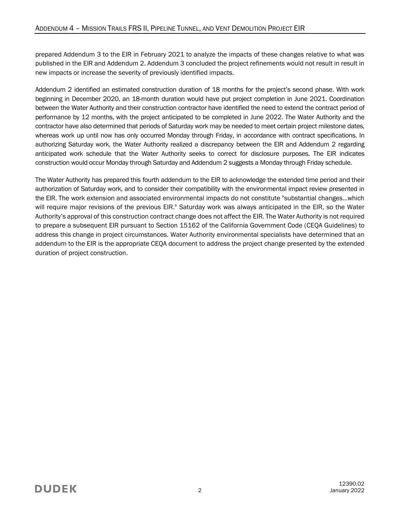prepared Addendum 3 to the EIR in February 2021 to analyze the impacts of these changes relative to what was published in the EIR and Addendum 2. Addendum 3 concluded the project refinements would not result in result in new impacts or increase the severity of previously identified impacts.

Addendum 2 identified an estimated construction duration of 18 months for the project's second phase. With work beginning in December 2020, an 18-month duration would have put project completion in June 2021. Coordination between the Water Authority and their construction contractor have identified the need to extend the contract period of performance by 12 months, with the project anticipated to be completed in June 2022. The Water Authority and the contractor have also determined that periods of Saturday work may be needed to meet certain project milestone dates, whereas work up until now has only occurred Monday through Friday, in accordance with contract specifications. In authorizing Saturday work, the Water Authority realized a discrepancy between the EIR and Addendum 2 regarding anticipated work schedule that the Water Authority seeks to correct for disclosure purposes. The EIR indicates construction would occur Monday through Saturday and Addendum 2 suggests a Monday through Friday schedule.

The Water Authority has prepared this fourth addendum to the EIR to acknowledge the extended time period and their authorization of Saturday work, and to consider their compatibility with the environmental impact review presented in the EIR. The work extension and associated environmental impacts do not constitute "substantial changes...which will require major revisions of the previous EIR." Saturday work was always anticipated in the EIR, so the Water Authority's approval of this construction contract change does not affect the EIR. The Water Authority is not required to prepare a subsequent EIR pursuant to Section 15162 of the California Government Code (CEQA Guidelines) to address this change in project circumstances. Water Authority environmental specialists have determined that an addendum to the EIR is the appropriate CEQA document to address the project change presented by the extended duration of project construction.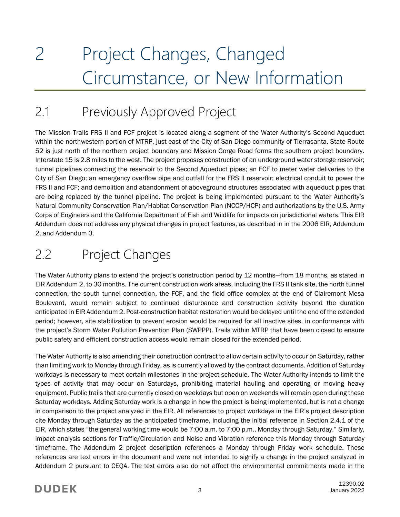# <span id="page-8-0"></span>2 Project Changes, Changed Circumstance, or New Information

#### <span id="page-8-1"></span>2.1 Previously Approved Project

The Mission Trails FRS II and FCF project is located along a segment of the Water Authority's Second Aqueduct within the northwestern portion of MTRP, just east of the City of San Diego community of Tierrasanta. State Route 52 is just north of the northern project boundary and Mission Gorge Road forms the southern project boundary. Interstate 15 is 2.8 miles to the west. The project proposes construction of an underground water storage reservoir; tunnel pipelines connecting the reservoir to the Second Aqueduct pipes; an FCF to meter water deliveries to the City of San Diego; an emergency overflow pipe and outfall for the FRS II reservoir; electrical conduit to power the FRS II and FCF; and demolition and abandonment of aboveground structures associated with aqueduct pipes that are being replaced by the tunnel pipeline. The project is being implemented pursuant to the Water Authority's Natural Community Conservation Plan/Habitat Conservation Plan (NCCP/HCP) and authorizations by the U.S. Army Corps of Engineers and the California Department of Fish and Wildlife for impacts on jurisdictional waters. This EIR Addendum does not address any physical changes in project features, as described in in the 2006 EIR, Addendum 2, and Addendum 3.

#### <span id="page-8-2"></span>2.2 Project Changes

The Water Authority plans to extend the project's construction period by 12 months—from 18 months, as stated in EIR Addendum 2, to 30 months. The current construction work areas, including the FRS II tank site, the north tunnel connection, the south tunnel connection, the FCF, and the field office complex at the end of Clairemont Mesa Boulevard, would remain subject to continued disturbance and construction activity beyond the duration anticipated in EIR Addendum 2. Post-construction habitat restoration would be delayed until the end of the extended period; however, site stabilization to prevent erosion would be required for all inactive sites, in conformance with the project's Storm Water Pollution Prevention Plan (SWPPP). Trails within MTRP that have been closed to ensure public safety and efficient construction access would remain closed for the extended period.

The Water Authority is also amending their construction contract to allow certain activity to occur on Saturday, rather than limiting work to Monday through Friday, as is currently allowed by the contract documents. Addition of Saturday workdays is necessary to meet certain milestones in the project schedule. The Water Authority intends to limit the types of activity that may occur on Saturdays, prohibiting material hauling and operating or moving heavy equipment. Public trails that are currently closed on weekdays but open on weekends will remain open during these Saturday workdays. Adding Saturday work is a change in how the project is being implemented, but is not a change in comparison to the project analyzed in the EIR. All references to project workdays in the EIR's project description cite Monday through Saturday as the anticipated timeframe, including the initial reference in Section 2.4.1 of the EIR, which states "the general working time would be 7:00 a.m. to 7:00 p.m., Monday through Saturday." Similarly, impact analysis sections for Traffic/Circulation and Noise and Vibration reference this Monday through Saturday timeframe. The Addendum 2 project description references a Monday through Friday work schedule. These references are text errors in the document and were not intended to signify a change in the project analyzed in Addendum 2 pursuant to CEQA. The text errors also do not affect the environmental commitments made in the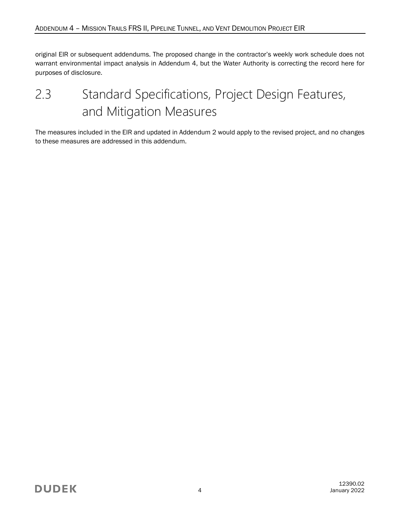original EIR or subsequent addendums. The proposed change in the contractor's weekly work schedule does not warrant environmental impact analysis in Addendum 4, but the Water Authority is correcting the record here for purposes of disclosure.

### <span id="page-9-0"></span>2.3 Standard Specifications, Project Design Features, and Mitigation Measures

The measures included in the EIR and updated in Addendum 2 would apply to the revised project, and no changes to these measures are addressed in this addendum.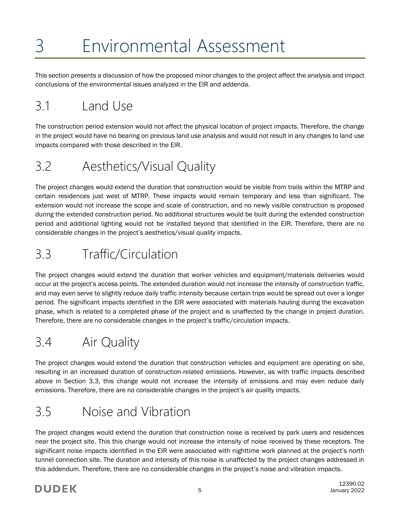## <span id="page-10-0"></span>3 Environmental Assessment

This section presents a discussion of how the proposed minor changes to the project affect the analysis and impact conclusions of the environmental issues analyzed in the EIR and addenda.

#### <span id="page-10-1"></span>3.1 Land Use

The construction period extension would not affect the physical location of project impacts. Therefore, the change in the project would have no bearing on previous land use analysis and would not result in any changes to land use impacts compared with those described in the EIR.

#### <span id="page-10-2"></span>3.2 Aesthetics/Visual Quality

The project changes would extend the duration that construction would be visible from trails within the MTRP and certain residences just west of MTRP. These impacts would remain temporary and less than significant. The extension would not increase the scope and scale of construction, and no newly visible construction is proposed during the extended construction period. No additional structures would be built during the extended construction period and additional lighting would not be installed beyond that identified in the EIR. Therefore, there are no considerable changes in the project's aesthetics/visual quality impacts.

#### <span id="page-10-3"></span>3.3 Traffic/Circulation

The project changes would extend the duration that worker vehicles and equipment/materials deliveries would occur at the project's access points. The extended duration would not increase the intensity of construction traffic, and may even serve to slightly reduce daily traffic intensity because certain trips would be spread out over a longer period. The significant impacts identified in the EIR were associated with materials hauling during the excavation phase, which is related to a completed phase of the project and is unaffected by the change in project duration. Therefore, there are no considerable changes in the project's traffic/circulation impacts.

#### <span id="page-10-4"></span>3.4 Air Quality

The project changes would extend the duration that construction vehicles and equipment are operating on site, resulting in an increased duration of construction-related emissions. However, as with traffic impacts described above in Section 3.3, this change would not increase the intensity of emissions and may even reduce daily emissions. Therefore, there are no considerable changes in the project's air quality impacts.

#### <span id="page-10-5"></span>3.5 Noise and Vibration

The project changes would extend the duration that construction noise is received by park users and residences near the project site. This this change would not increase the intensity of noise received by these receptors. The significant noise impacts identified in the EIR were associated with nighttime work planned at the project's north tunnel connection site. The duration and intensity of this noise is unaffected by the project changes addressed in this addendum. Therefore, there are no considerable changes in the project's noise and vibration impacts.

#### **DUDEK**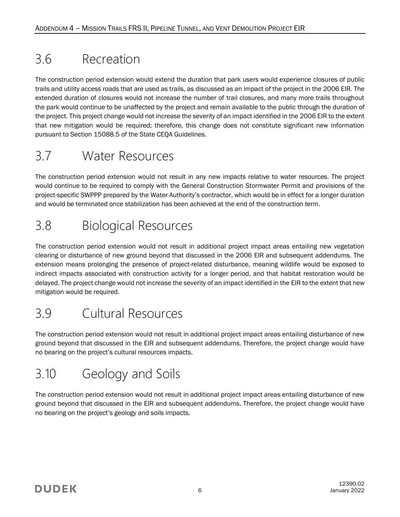#### <span id="page-11-0"></span>3.6 Recreation

The construction period extension would extend the duration that park users would experience closures of public trails and utility access roads that are used as trails, as discussed as an impact of the project in the 2006 EIR. The extended duration of closures would not increase the number of trail closures, and many more trails throughout the park would continue to be unaffected by the project and remain available to the public through the duration of the project. This project change would not increase the severity of an impact identified in the 2006 EIR to the extent that new mitigation would be required; therefore, this change does not constitute significant new information pursuant to Section 15088.5 of the State CEQA Guidelines.

#### <span id="page-11-1"></span>3.7 Water Resources

The construction period extension would not result in any new impacts relative to water resources. The project would continue to be required to comply with the General Construction Stormwater Permit and provisions of the project-specific SWPPP prepared by the Water Authority's contractor, which would be in effect for a longer duration and would be terminated once stabilization has been achieved at the end of the construction term.

### <span id="page-11-2"></span>3.8 Biological Resources

The construction period extension would not result in additional project impact areas entailing new vegetation clearing or disturbance of new ground beyond that discussed in the 2006 EIR and subsequent addendums. The extension means prolonging the presence of project-related disturbance, meaning wildlife would be exposed to indirect impacts associated with construction activity for a longer period, and that habitat restoration would be delayed. The project change would not increase the severity of an impact identified in the EIR to the extent that new mitigation would be required.

### <span id="page-11-3"></span>3.9 Cultural Resources

The construction period extension would not result in additional project impact areas entailing disturbance of new ground beyond that discussed in the EIR and subsequent addendums. Therefore, the project change would have no bearing on the project's cultural resources impacts.

### <span id="page-11-4"></span>3.10 Geology and Soils

The construction period extension would not result in additional project impact areas entailing disturbance of new ground beyond that discussed in the EIR and subsequent addendums. Therefore, the project change would have no bearing on the project's geology and soils impacts.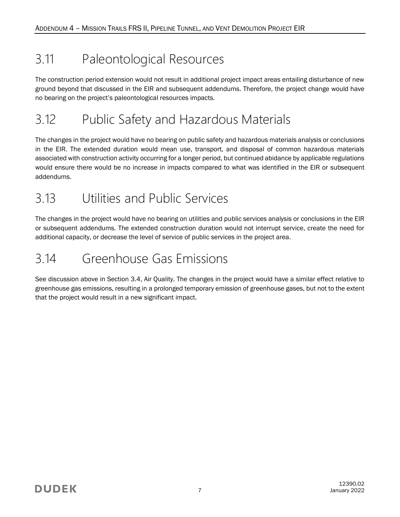### <span id="page-12-0"></span>3.11 Paleontological Resources

The construction period extension would not result in additional project impact areas entailing disturbance of new ground beyond that discussed in the EIR and subsequent addendums. Therefore, the project change would have no bearing on the project's paleontological resources impacts.

### <span id="page-12-1"></span>3.12 Public Safety and Hazardous Materials

The changes in the project would have no bearing on public safety and hazardous materials analysis or conclusions in the EIR. The extended duration would mean use, transport, and disposal of common hazardous materials associated with construction activity occurring for a longer period, but continued abidance by applicable regulations would ensure there would be no increase in impacts compared to what was identified in the EIR or subsequent addendums.

#### <span id="page-12-2"></span>3.13 Utilities and Public Services

The changes in the project would have no bearing on utilities and public services analysis or conclusions in the EIR or subsequent addendums. The extended construction duration would not interrupt service, create the need for additional capacity, or decrease the level of service of public services in the project area.

#### <span id="page-12-3"></span>3.14 Greenhouse Gas Emissions

See discussion above in Section 3.4, Air Quality. The changes in the project would have a similar effect relative to greenhouse gas emissions, resulting in a prolonged temporary emission of greenhouse gases, but not to the extent that the project would result in a new significant impact.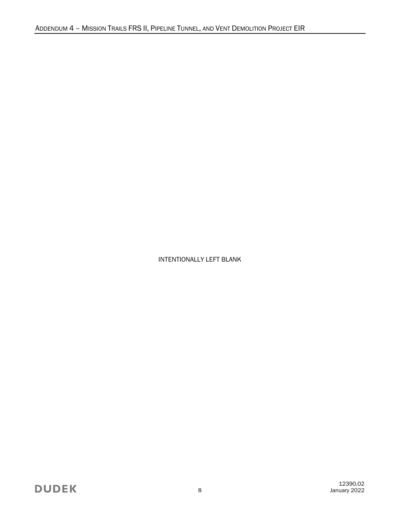INTENTIONALLY LEFT BLANK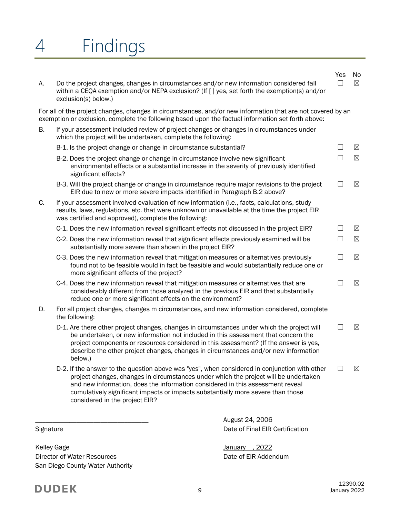## <span id="page-14-0"></span>4 Findings

A. Do the project changes, changes in circumstances and/or new information considered fall within a CEQA exemption and/or NEPA exclusion? (If [ ] yes, set forth the exemption(s) and/or exclusion(s) below.)  $\square$   $\square$ 

For all of the project changes, changes in circumstances, and/or new information that are not covered by an exemption or exclusion, complete the following based upon the factual information set forth above:

| B. | If your assessment included review of project changes or changes in circumstances under<br>which the project will be undertaken, complete the following:                                                                                                                                                                                                                                      |              |             |
|----|-----------------------------------------------------------------------------------------------------------------------------------------------------------------------------------------------------------------------------------------------------------------------------------------------------------------------------------------------------------------------------------------------|--------------|-------------|
|    | B-1. Is the project change or change in circumstance substantial?                                                                                                                                                                                                                                                                                                                             |              | $\boxtimes$ |
|    | B-2. Does the project change or change in circumstance involve new significant<br>environmental effects or a substantial increase in the severity of previously identified<br>significant effects?                                                                                                                                                                                            |              | $\boxtimes$ |
|    | B-3. Will the project change or change in circumstance require major revisions to the project<br>EIR due to new or more severe impacts identified in Paragraph B.2 above?                                                                                                                                                                                                                     |              | $\boxtimes$ |
| C. | If your assessment involved evaluation of new information (i.e., facts, calculations, study<br>results, laws, regulations, etc. that were unknown or unavailable at the time the project EIR<br>was certified and approved), complete the following:                                                                                                                                          |              |             |
|    | C-1. Does the new information reveal significant effects not discussed in the project EIR?                                                                                                                                                                                                                                                                                                    | $\mathsf{L}$ | ⊠           |
|    | C-2. Does the new information reveal that significant effects previously examined will be<br>substantially more severe than shown in the project EIR?                                                                                                                                                                                                                                         | $\Box$       | $\boxtimes$ |
|    | C-3. Does the new information reveal that mitigation measures or alternatives previously<br>found not to be feasible would in fact be feasible and would substantially reduce one or<br>more significant effects of the project?                                                                                                                                                              |              | $\boxtimes$ |
|    | C-4. Does the new information reveal that mitigation measures or alternatives that are<br>considerably different from those analyzed in the previous EIR and that substantially<br>reduce one or more significant effects on the environment?                                                                                                                                                 |              | $\boxtimes$ |
| D. | For all project changes, changes m circumstances, and new information considered, complete<br>the following:                                                                                                                                                                                                                                                                                  |              |             |
|    | D-1. Are there other project changes, changes in circumstances under which the project will<br>be undertaken, or new information not included in this assessment that concern the<br>project components or resources considered in this assessment? (If the answer is yes,<br>describe the other project changes, changes in circumstances and/or new information<br>below.)                  |              | $\boxtimes$ |
|    | D-2. If the answer to the question above was "yes", when considered in conjunction with other<br>project changes, changes in circumstances under which the project will be undertaken<br>and new information, does the information considered in this assessment reveal<br>cumulatively significant impacts or impacts substantially more severe than those<br>considered in the project EIR? |              | $\boxtimes$ |
|    |                                                                                                                                                                                                                                                                                                                                                                                               |              |             |

Kelley Gage **January** 2022 Director of Water Resources **Director of Water Resources** Date of EIR Addendum San Diego County Water Authority

\_\_\_\_\_\_\_\_\_\_\_\_\_\_\_\_\_\_\_\_\_\_\_\_\_\_\_\_\_\_\_\_\_ August 24, 2006 Signature **Date of Final EIR Certification** 

Yes No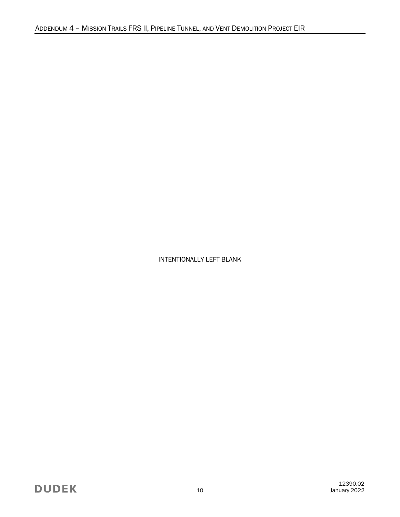INTENTIONALLY LEFT BLANK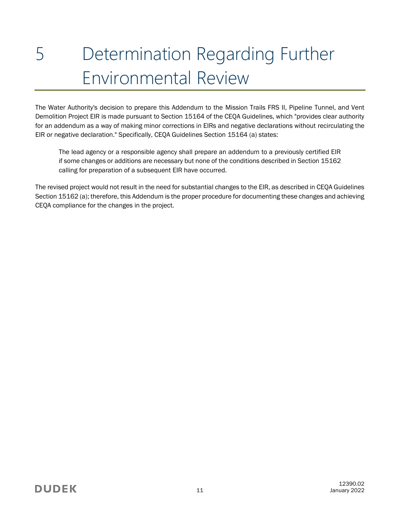# <span id="page-16-0"></span>5 Determination Regarding Further Environmental Review

The Water Authority's decision to prepare this Addendum to the Mission Trails FRS II, Pipeline Tunnel, and Vent Demolition Project EIR is made pursuant to Section 15164 of the CEQA Guidelines, which "provides clear authority for an addendum as a way of making minor corrections in EIRs and negative declarations without recirculating the EIR or negative declaration." Specifically, CEQA Guidelines Section 15164 (a) states:

The lead agency or a responsible agency shall prepare an addendum to a previously certified EIR if some changes or additions are necessary but none of the conditions described in Section 15162 calling for preparation of a subsequent EIR have occurred.

The revised project would not result in the need for substantial changes to the EIR, as described in CEQA Guidelines Section 15162 (a); therefore, this Addendum is the proper procedure for documenting these changes and achieving CEQA compliance for the changes in the project.